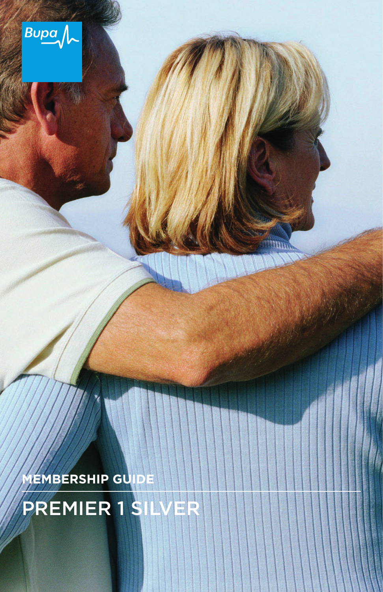

**MEMBERSHIP GUIDE**

PREMIER 1 SILVER

Hun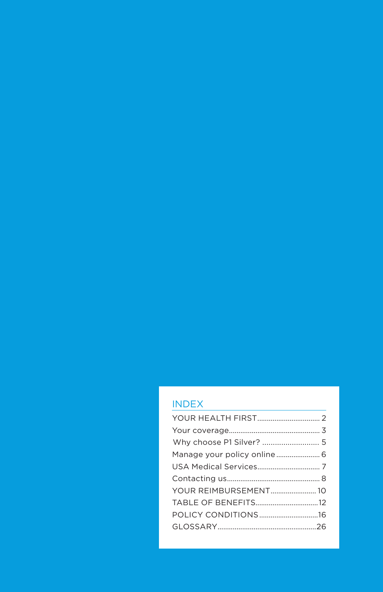### INDEX

| YOUR REIMBURSEMENT 10 |  |
|-----------------------|--|
| TABLE OF BENEFITS12   |  |
| POLICY CONDITIONS16   |  |
|                       |  |
|                       |  |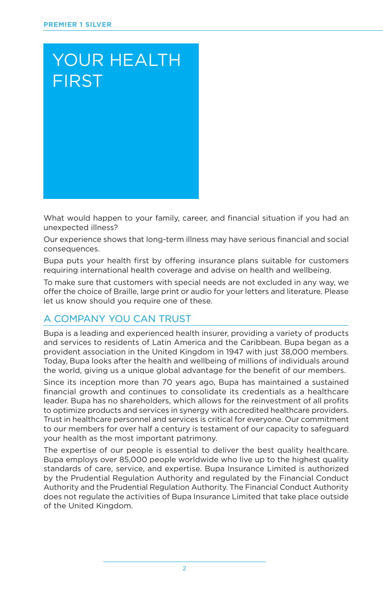# YOUR HEALTH FIRST

What would happen to your family, career, and financial situation if you had an unexpected illness?

Our experience shows that long-term illness may have serious financial and social consequences.

Bupa puts your health first by offering insurance plans suitable for customers requiring international health coverage and advise on health and wellbeing.

To make sure that customers with special needs are not excluded in any way, we offer the choice of Braille, large print or audio for your letters and literature. Please let us know should you require one of these.

### A COMPANY YOU CAN TRUST

Bupa is a leading and experienced health insurer, providing a variety of products and services to residents of Latin America and the Caribbean. Bupa began as a provident association in the United Kingdom in 1947 with just 38,000 members. Today, Bupa looks after the health and wellbeing of millions of individuals around the world, giving us a unique global advantage for the benefit of our members.

Since its inception more than 70 years ago, Bupa has maintained a sustained financial growth and continues to consolidate its credentials as a healthcare leader. Bupa has no shareholders, which allows for the reinvestment of all profits to optimize products and services in synergy with accredited healthcare providers. Trust in healthcare personnel and services is critical for everyone. Our commitment to our members for over half a century is testament of our capacity to safeguard your health as the most important patrimony.

The expertise of our people is essential to deliver the best quality healthcare. Bupa employs over 85,000 people worldwide who live up to the highest quality standards of care, service, and expertise. Bupa Insurance Limited is authorized by the Prudential Regulation Authority and regulated by the Financial Conduct Authority and the Prudential Regulation Authority. The Financial Conduct Authority does not regulate the activities of Bupa Insurance Limited that take place outside of the United Kingdom.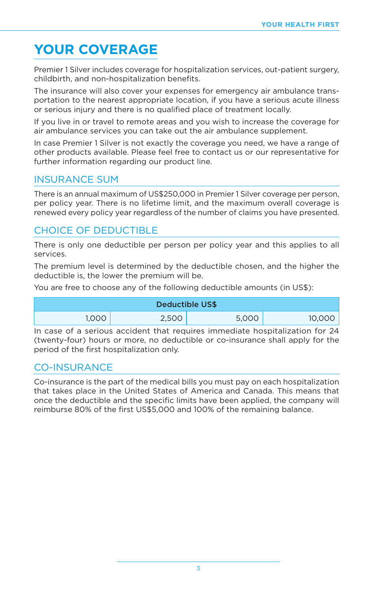## **YOUR COVERAGE**

Premier 1 Silver includes coverage for hospitalization services, out-patient surgery, childbirth, and non-hospitalization benefits.

The insurance will also cover your expenses for emergency air ambulance transportation to the nearest appropriate location, if you have a serious acute illness or serious injury and there is no qualified place of treatment locally.

If you live in or travel to remote areas and you wish to increase the coverage for air ambulance services you can take out the air ambulance supplement.

In case Premier 1 Silver is not exactly the coverage you need, we have a range of other products available. Please feel free to contact us or our representative for further information regarding our product line.

#### INSURANCE SUM

There is an annual maximum of US\$250,000 in Premier 1 Silver coverage per person, per policy year. There is no lifetime limit, and the maximum overall coverage is renewed every policy year regardless of the number of claims you have presented.

#### CHOICE OF DEDUCTIBLE

There is only one deductible per person per policy year and this applies to all services.

The premium level is determined by the deductible chosen, and the higher the deductible is, the lower the premium will be.

You are free to choose any of the following deductible amounts (in US\$):

|       | Deductible US\$ |       |        |
|-------|-----------------|-------|--------|
| 1,000 | 2,500           | 5,000 | 10,000 |

In case of a serious accident that requires immediate hospitalization for 24 (twenty-four) hours or more, no deductible or co-insurance shall apply for the period of the first hospitalization only.

#### CO-INSURANCE

Co-insurance is the part of the medical bills you must pay on each hospitalization that takes place in the United States of America and Canada. This means that once the deductible and the specific limits have been applied, the company will reimburse 80% of the first US\$5,000 and 100% of the remaining balance.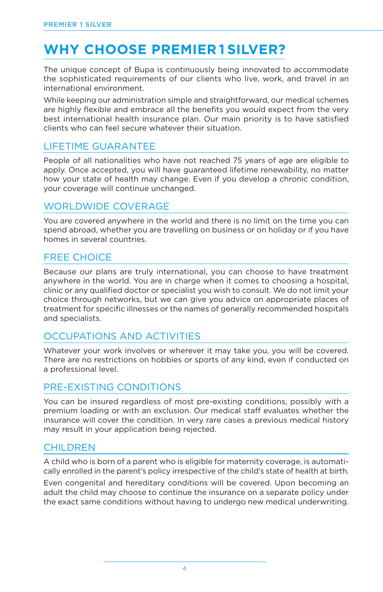## **WHY CHOOSE PREMIER 1 SILVER?**

The unique concept of Bupa is continuously being innovated to accommodate the sophisticated requirements of our clients who live, work, and travel in an international environment.

While keeping our administration simple and straightforward, our medical schemes are highly flexible and embrace all the benefits you would expect from the very best international health insurance plan. Our main priority is to have satisfied clients who can feel secure whatever their situation.

#### LIFETIME GUARANTEE

People of all nationalities who have not reached 75 years of age are eligible to apply. Once accepted, you will have guaranteed lifetime renewability, no matter how your state of health may change. Even if you develop a chronic condition, your coverage will continue unchanged.

#### WORLDWIDE COVERAGE

You are covered anywhere in the world and there is no limit on the time you can spend abroad, whether you are travelling on business or on holiday or if you have homes in several countries.

#### FREE CHOICE

Because our plans are truly international, you can choose to have treatment anywhere in the world. You are in charge when it comes to choosing a hospital, clinic or any qualified doctor or specialist you wish to consult. We do not limit your choice through networks, but we can give you advice on appropriate places of treatment for specific illnesses or the names of generally recommended hospitals and specialists.

### OCCUPATIONS AND ACTIVITIES

Whatever your work involves or wherever it may take you, you will be covered. There are no restrictions on hobbies or sports of any kind, even if conducted on a professional level.

#### PRE-EXISTING CONDITIONS

You can be insured regardless of most pre-existing conditions, possibly with a premium loading or with an exclusion. Our medical staff evaluates whether the insurance will cover the condition. In very rare cases a previous medical history may result in your application being rejected.

#### **CHILDREN**

A child who is born of a parent who is eligible for maternity coverage, is automatically enrolled in the parent's policy irrespective of the child's state of health at birth.

Even congenital and hereditary conditions will be covered. Upon becoming an adult the child may choose to continue the insurance on a separate policy under the exact same conditions without having to undergo new medical underwriting.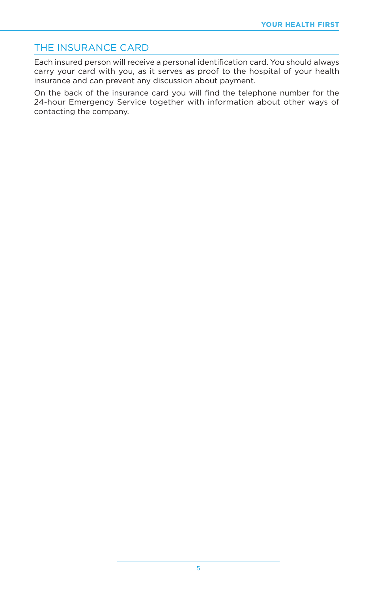#### THE INSURANCE CARD

Each insured person will receive a personal identification card. You should always carry your card with you, as it serves as proof to the hospital of your health insurance and can prevent any discussion about payment.

On the back of the insurance card you will find the telephone number for the 24-hour Emergency Service together with information about other ways of contacting the company.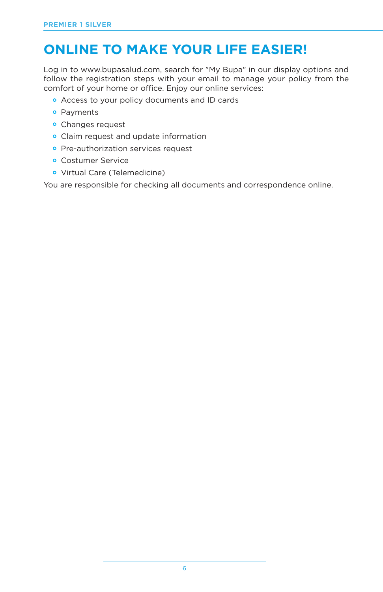## **ONLINE TO MAKE YOUR LIFE EASIER!**

Log in to www.bupasalud.com, search for "My Bupa" in our display options and follow the registration steps with your email to manage your policy from the comfort of your home or office. Enjoy our online services:

- Access to your policy documents and ID cards
- Payments
- Changes request
- Claim request and update information
- **•** Pre-authorization services request
- Costumer Service
- Virtual Care (Telemedicine)

You are responsible for checking all documents and correspondence online.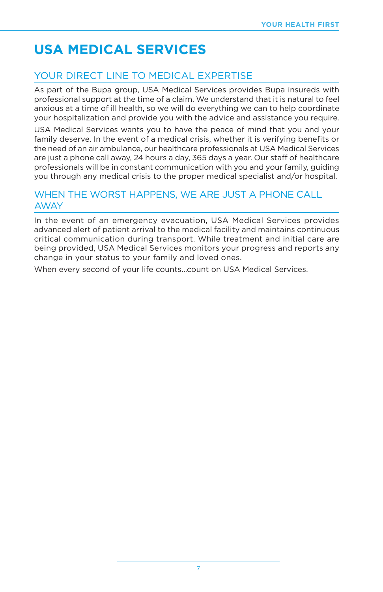## **USA MEDICAL SERVICES**

### YOUR DIRECT LINE TO MEDICAL EXPERTISE

As part of the Bupa group, USA Medical Services provides Bupa insureds with professional support at the time of a claim. We understand that it is natural to feel anxious at a time of ill health, so we will do everything we can to help coordinate your hospitalization and provide you with the advice and assistance you require.

USA Medical Services wants you to have the peace of mind that you and your family deserve. In the event of a medical crisis, whether it is verifying benefits or the need of an air ambulance, our healthcare professionals at USA Medical Services are just a phone call away, 24 hours a day, 365 days a year. Our staff of healthcare professionals will be in constant communication with you and your family, guiding you through any medical crisis to the proper medical specialist and/or hospital.

#### WHEN THE WORST HAPPENS, WE ARE JUST A PHONE CALL AWAY

In the event of an emergency evacuation, USA Medical Services provides advanced alert of patient arrival to the medical facility and maintains continuous critical communication during transport. While treatment and initial care are being provided, USA Medical Services monitors your progress and reports any change in your status to your family and loved ones.

When every second of your life counts...count on USA Medical Services.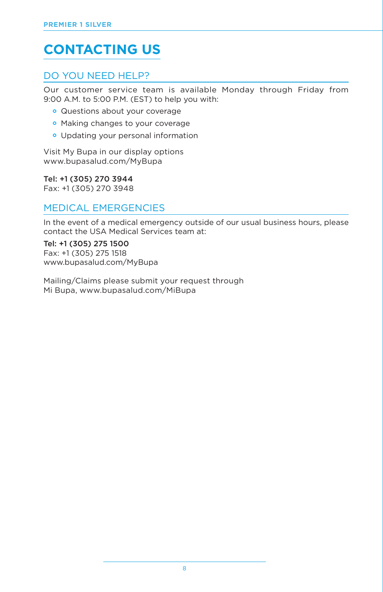## **CONTACTING US**

### DO YOU NEED HELP?

Our customer service team is available Monday through Friday from 9:00 A.M. to 5:00 P.M. (EST) to help you with:

- Questions about your coverage
- Making changes to your coverage
- Updating your personal information

Visit My Bupa in our display options www.bupasalud.com/MyBupa

Tel: +1 (305) 270 3944 Fax: +1 (305) 270 3948

#### **MEDICAL EMERGENCIFS**

In the event of a medical emergency outside of our usual business hours, please contact the USA Medical Services team at:

Tel: +1 (305) 275 1500 Fax: +1 (305) 275 1518 www.bupasalud.com/MyBupa

Mailing/Claims please submit your request through Mi Bupa, www.bupasalud.com/MiBupa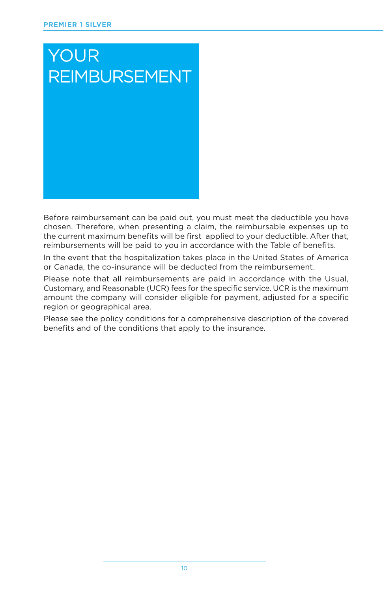# YOUR REIMBURSEMENT

Before reimbursement can be paid out, you must meet the deductible you have chosen. Therefore, when presenting a claim, the reimbursable expenses up to the current maximum benefits will be first applied to your deductible. After that, reimbursements will be paid to you in accordance with the Table of benefits.

In the event that the hospitalization takes place in the United States of America or Canada, the co-insurance will be deducted from the reimbursement.

Please note that all reimbursements are paid in accordance with the Usual, Customary, and Reasonable (UCR) fees for the specific service. UCR is the maximum amount the company will consider eligible for payment, adjusted for a specific region or geographical area.

Please see the policy conditions for a comprehensive description of the covered benefits and of the conditions that apply to the insurance.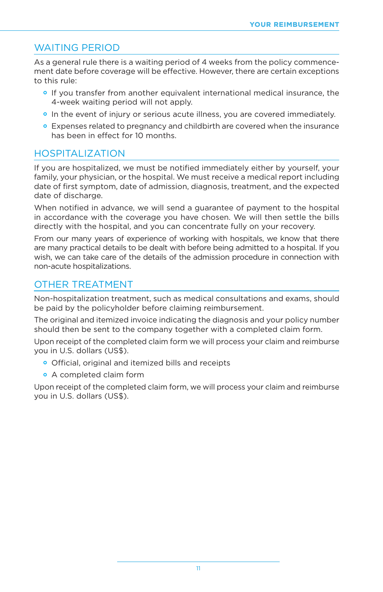#### WAITING PERIOD

As a general rule there is a waiting period of 4 weeks from the policy commencement date before coverage will be effective. However, there are certain exceptions to this rule:

- If you transfer from another equivalent international medical insurance, the 4-week waiting period will not apply.
- In the event of injury or serious acute illness, you are covered immediately.
- Expenses related to pregnancy and childbirth are covered when the insurance has been in effect for 10 months.

#### HOSPITALIZATION

If you are hospitalized, we must be notified immediately either by yourself, your family, your physician, or the hospital. We must receive a medical report including date of first symptom, date of admission, diagnosis, treatment, and the expected date of discharge.

When notified in advance, we will send a guarantee of payment to the hospital in accordance with the coverage you have chosen. We will then settle the bills directly with the hospital, and you can concentrate fully on your recovery.

From our many years of experience of working with hospitals, we know that there are many practical details to be dealt with before being admitted to a hospital. If you wish, we can take care of the details of the admission procedure in connection with non-acute hospitalizations.

#### OTHER TREATMENT

Non-hospitalization treatment, such as medical consultations and exams, should be paid by the policyholder before claiming reimbursement.

The original and itemized invoice indicating the diagnosis and your policy number should then be sent to the company together with a completed claim form.

Upon receipt of the completed claim form we will process your claim and reimburse you in U.S. dollars (US\$).

- Official, original and itemized bills and receipts
- A completed claim form

Upon receipt of the completed claim form, we will process your claim and reimburse you in U.S. dollars (US\$).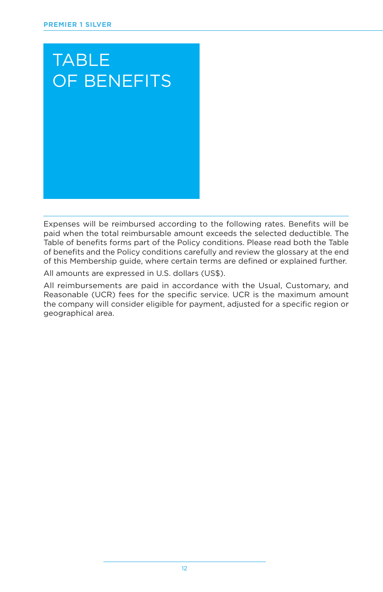

Expenses will be reimbursed according to the following rates. Benefits will be paid when the total reimbursable amount exceeds the selected deductible. The Table of benefits forms part of the Policy conditions. Please read both the Table of benefits and the Policy conditions carefully and review the glossary at the end of this Membership guide, where certain terms are defined or explained further.

All amounts are expressed in U.S. dollars (US\$).

All reimbursements are paid in accordance with the Usual, Customary, and Reasonable (UCR) fees for the specific service. UCR is the maximum amount the company will consider eligible for payment, adjusted for a specific region or geographical area.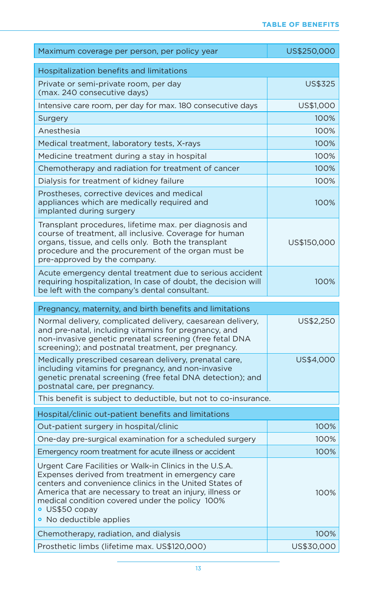| Maximum coverage per person, per policy year                                                                                                                                                                                                                                                                                         | US\$250,000 |
|--------------------------------------------------------------------------------------------------------------------------------------------------------------------------------------------------------------------------------------------------------------------------------------------------------------------------------------|-------------|
| Hospitalization benefits and limitations                                                                                                                                                                                                                                                                                             |             |
| Private or semi-private room, per day<br>(max. 240 consecutive days)                                                                                                                                                                                                                                                                 | US\$325     |
| Intensive care room, per day for max. 180 consecutive days                                                                                                                                                                                                                                                                           | US\$1,000   |
| Surgery                                                                                                                                                                                                                                                                                                                              | 100%        |
| Anesthesia                                                                                                                                                                                                                                                                                                                           | 100%        |
| Medical treatment, laboratory tests, X-rays                                                                                                                                                                                                                                                                                          | 100%        |
| Medicine treatment during a stay in hospital                                                                                                                                                                                                                                                                                         | 100%        |
| Chemotherapy and radiation for treatment of cancer                                                                                                                                                                                                                                                                                   | 100%        |
| Dialysis for treatment of kidney failure                                                                                                                                                                                                                                                                                             | 100%        |
| Prostheses, corrective devices and medical<br>appliances which are medically required and<br>implanted during surgery                                                                                                                                                                                                                | 100%        |
| Transplant procedures, lifetime max. per diagnosis and<br>course of treatment, all inclusive. Coverage for human<br>organs, tissue, and cells only. Both the transplant<br>procedure and the procurement of the organ must be<br>pre-approved by the company.                                                                        | US\$150,000 |
| Acute emergency dental treatment due to serious accident<br>requiring hospitalization, In case of doubt, the decision will<br>be left with the company's dental consultant.                                                                                                                                                          | 100%        |
|                                                                                                                                                                                                                                                                                                                                      |             |
| Pregnancy, maternity, and birth benefits and limitations                                                                                                                                                                                                                                                                             |             |
| Normal delivery, complicated delivery, caesarean delivery,<br>and pre-natal, including vitamins for pregnancy, and<br>non-invasive genetic prenatal screening (free fetal DNA<br>screening); and postnatal treatment, per pregnancy.                                                                                                 | US\$2,250   |
| Medically prescribed cesarean delivery, prenatal care,<br>including vitamins for pregnancy, and non-invasive<br>genetic prenatal screening (free fetal DNA detection); and<br>postnatal care, per pregnancy.                                                                                                                         | US\$4,000   |
| This benefit is subject to deductible, but not to co-insurance.                                                                                                                                                                                                                                                                      |             |
| Hospital/clinic out-patient benefits and limitations                                                                                                                                                                                                                                                                                 |             |
| Out-patient surgery in hospital/clinic                                                                                                                                                                                                                                                                                               | 100%        |
| One-day pre-surgical examination for a scheduled surgery                                                                                                                                                                                                                                                                             | 100%        |
| Emergency room treatment for acute illness or accident                                                                                                                                                                                                                                                                               | 100%        |
| Urgent Care Facilities or Walk-in Clinics in the U.S.A.<br>Expenses derived from treatment in emergency care<br>centers and convenience clinics in the United States of<br>America that are necessary to treat an injury, illness or<br>medical condition covered under the policy 100%<br>· US\$50 copay<br>• No deductible applies | 100%        |
| Chemotherapy, radiation, and dialysis                                                                                                                                                                                                                                                                                                | 100%        |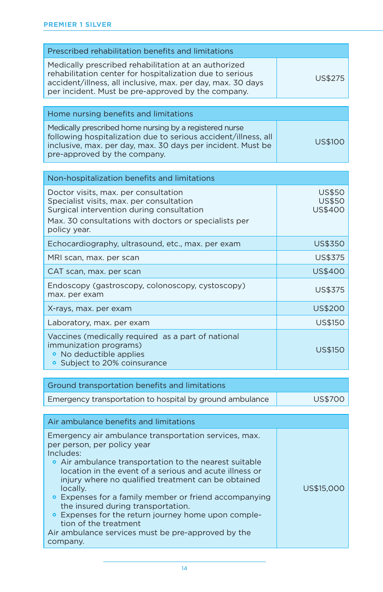| Prescribed rehabilitation benefits and limitations                                                                                                                                                                                    |                                                  |
|---------------------------------------------------------------------------------------------------------------------------------------------------------------------------------------------------------------------------------------|--------------------------------------------------|
| Medically prescribed rehabilitation at an authorized<br>rehabilitation center for hospitalization due to serious<br>accident/illness, all inclusive, max. per day, max. 30 days<br>per incident. Must be pre-approved by the company. | <b>US\$275</b>                                   |
|                                                                                                                                                                                                                                       |                                                  |
| Home nursing benefits and limitations                                                                                                                                                                                                 |                                                  |
| Medically prescribed home nursing by a registered nurse<br>following hospitalization due to serious accident/illness, all<br>inclusive, max. per day, max. 30 days per incident. Must be<br>pre-approved by the company.              | <b>US\$100</b>                                   |
|                                                                                                                                                                                                                                       |                                                  |
| Non-hospitalization benefits and limitations                                                                                                                                                                                          |                                                  |
| Doctor visits, max. per consultation<br>Specialist visits, max. per consultation<br>Surgical intervention during consultation<br>Max. 30 consultations with doctors or specialists per<br>policy year.                                | <b>US\$50</b><br><b>US\$50</b><br><b>US\$400</b> |
| Echocardiography, ultrasound, etc., max. per exam                                                                                                                                                                                     | <b>US\$350</b>                                   |
| MRI scan, max. per scan                                                                                                                                                                                                               | <b>US\$375</b>                                   |
| CAT scan, max. per scan                                                                                                                                                                                                               | <b>US\$400</b>                                   |
| Endoscopy (gastroscopy, colonoscopy, cystoscopy)<br>max. per exam                                                                                                                                                                     | US\$375                                          |
| X-rays, max. per exam                                                                                                                                                                                                                 | <b>US\$200</b>                                   |
| Laboratory, max. per exam                                                                                                                                                                                                             | <b>US\$150</b>                                   |
| Vaccines (medically required as a part of national<br>immunization programs)<br>• No deductible applies<br>• Subject to 20% coinsurance                                                                                               | <b>US\$150</b>                                   |

| Ground transportation benefits and limitations           |         |
|----------------------------------------------------------|---------|
| Emergency transportation to hospital by ground ambulance | US\$700 |

| Air ambulance benefits and limitations                                                                                                                                                                                                                                                                                                                                                                                                                                                                                                     |            |
|--------------------------------------------------------------------------------------------------------------------------------------------------------------------------------------------------------------------------------------------------------------------------------------------------------------------------------------------------------------------------------------------------------------------------------------------------------------------------------------------------------------------------------------------|------------|
| Emergency air ambulance transportation services, max.<br>per person, per policy year<br>Includes:<br>• Air ambulance transportation to the nearest suitable<br>location in the event of a serious and acute illness or<br>injury where no qualified treatment can be obtained<br>locally.<br>• Expenses for a family member or friend accompanying<br>the insured during transportation.<br>• Expenses for the return journey home upon comple-<br>tion of the treatment<br>Air ambulance services must be pre-approved by the<br>company. | US\$15,000 |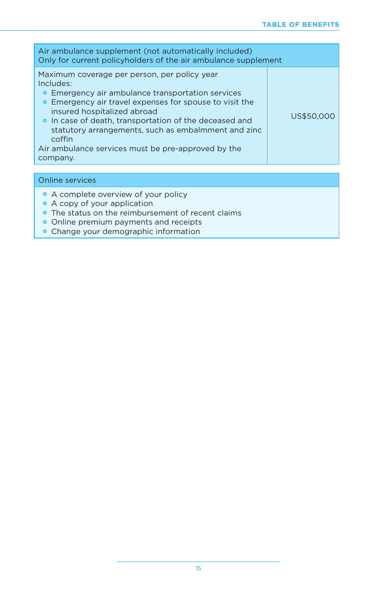| Air ambulance supplement (not automatically included)<br>Only for current policyholders of the air ambulance supplement                                                                                                                                                                                                                                                                               |            |
|-------------------------------------------------------------------------------------------------------------------------------------------------------------------------------------------------------------------------------------------------------------------------------------------------------------------------------------------------------------------------------------------------------|------------|
| Maximum coverage per person, per policy year<br>Includes:<br>• Emergency air ambulance transportation services<br>• Emergency air travel expenses for spouse to visit the<br>insured hospitalized abroad<br>• In case of death, transportation of the deceased and<br>statutory arrangements, such as embalmment and zinc<br>coffin<br>Air ambulance services must be pre-approved by the<br>company. | US\$50,000 |
|                                                                                                                                                                                                                                                                                                                                                                                                       |            |

| Online services |                                                    |  |
|-----------------|----------------------------------------------------|--|
|                 | • A complete overview of your policy               |  |
|                 | • A copy of your application                       |  |
|                 | • The status on the reimbursement of recent claims |  |
|                 | • Online premium payments and receipts             |  |
|                 | • Change your demographic information              |  |
|                 |                                                    |  |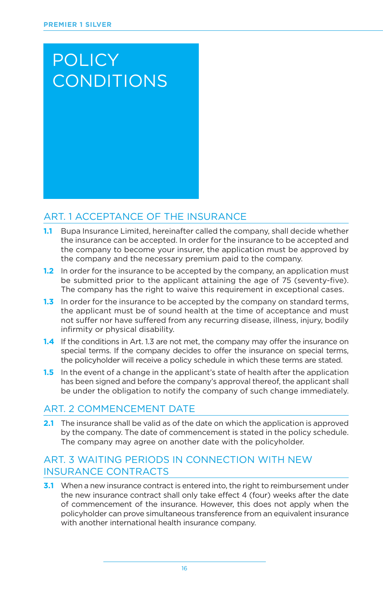# **POLICY CONDITIONS**

#### ART. 1 ACCEPTANCE OF THE INSURANCE

- **1.1** Bupa Insurance Limited, hereinafter called the company, shall decide whether the insurance can be accepted. In order for the insurance to be accepted and the company to become your insurer, the application must be approved by the company and the necessary premium paid to the company.
- **1.2** In order for the insurance to be accepted by the company, an application must be submitted prior to the applicant attaining the age of 75 (seventy-five). The company has the right to waive this requirement in exceptional cases.
- **1.3** In order for the insurance to be accepted by the company on standard terms, the applicant must be of sound health at the time of acceptance and must not suffer nor have suffered from any recurring disease, illness, injury, bodily infirmity or physical disability.
- **1.4** If the conditions in Art. 1.3 are not met, the company may offer the insurance on special terms. If the company decides to offer the insurance on special terms, the policyholder will receive a policy schedule in which these terms are stated.
- **1.5** In the event of a change in the applicant's state of health after the application has been signed and before the company's approval thereof, the applicant shall be under the obligation to notify the company of such change immediately.

#### ART. 2 COMMENCEMENT DATE

**2.1** The insurance shall be valid as of the date on which the application is approved by the company. The date of commencement is stated in the policy schedule. The company may agree on another date with the policyholder.

#### ART. 3 WAITING PERIODS IN CONNECTION WITH NEW INSURANCE CONTRACTS

**3.1** When a new insurance contract is entered into, the right to reimbursement under the new insurance contract shall only take effect 4 (four) weeks after the date of commencement of the insurance. However, this does not apply when the policyholder can prove simultaneous transference from an equivalent insurance with another international health insurance company.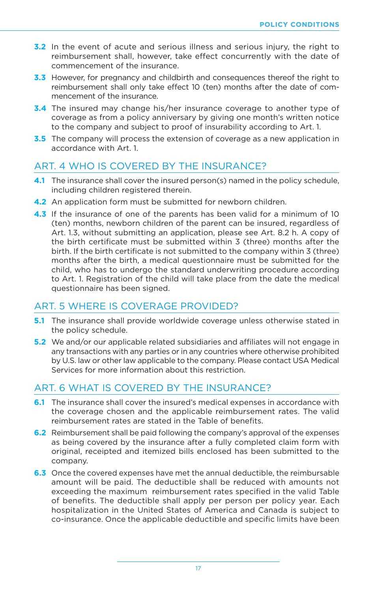- **3.2** In the event of acute and serious illness and serious injury, the right to reimbursement shall, however, take effect concurrently with the date of commencement of the insurance.
- **3.3** However, for pregnancy and childbirth and consequences thereof the right to reimbursement shall only take effect 10 (ten) months after the date of commencement of the insurance.
- **3.4** The insured may change his/her insurance coverage to another type of coverage as from a policy anniversary by giving one month's written notice to the company and subject to proof of insurability according to Art. 1.
- **3.5** The company will process the extension of coverage as a new application in accordance with Art. 1.

#### ART. 4 WHO IS COVERED BY THE INSURANCE?

- **4.1** The insurance shall cover the insured person(s) named in the policy schedule, including children registered therein.
- **4.2** An application form must be submitted for newborn children.
- **4.3** If the insurance of one of the parents has been valid for a minimum of 10 (ten) months, newborn children of the parent can be insured, regardless of Art. 1.3, without submitting an application, please see Art. 8.2 h. A copy of the birth certificate must be submitted within 3 (three) months after the birth. If the birth certificate is not submitted to the company within 3 (three) months after the birth, a medical questionnaire must be submitted for the child, who has to undergo the standard underwriting procedure according to Art. 1. Registration of the child will take place from the date the medical questionnaire has been signed.

#### ART. 5 WHERE IS COVERAGE PROVIDED?

- **5.1** The insurance shall provide worldwide coverage unless otherwise stated in the policy schedule.
- **5.2** We and/or our applicable related subsidiaries and affiliates will not engage in any transactions with any parties or in any countries where otherwise prohibited by U.S. law or other law applicable to the company. Please contact USA Medical Services for more information about this restriction.

#### ART. 6 WHAT IS COVERED BY THE INSURANCE?

- **6.1** The insurance shall cover the insured's medical expenses in accordance with the coverage chosen and the applicable reimbursement rates. The valid reimbursement rates are stated in the Table of benefits.
- **6.2** Reimbursement shall be paid following the company's approval of the expenses as being covered by the insurance after a fully completed claim form with original, receipted and itemized bills enclosed has been submitted to the company.
- **6.3** Once the covered expenses have met the annual deductible, the reimbursable amount will be paid. The deductible shall be reduced with amounts not exceeding the maximum reimbursement rates specified in the valid Table of benefits. The deductible shall apply per person per policy year. Each hospitalization in the United States of America and Canada is subject to co-insurance. Once the applicable deductible and specific limits have been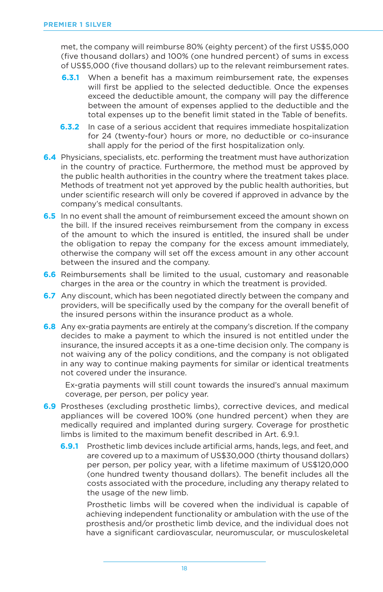met, the company will reimburse 80% (eighty percent) of the first US\$5,000 (five thousand dollars) and 100% (one hundred percent) of sums in excess of US\$5,000 (five thousand dollars) up to the relevant reimbursement rates.

- **6.3.1** When a benefit has a maximum reimbursement rate, the expenses will first be applied to the selected deductible. Once the expenses exceed the deductible amount, the company will pay the difference between the amount of expenses applied to the deductible and the total expenses up to the benefit limit stated in the Table of benefits.
- **6.3.2** In case of a serious accident that requires immediate hospitalization for 24 (twenty-four) hours or more, no deductible or co-insurance shall apply for the period of the first hospitalization only.
- **6.4** Physicians, specialists, etc. performing the treatment must have authorization in the country of practice. Furthermore, the method must be approved by the public health authorities in the country where the treatment takes place. Methods of treatment not yet approved by the public health authorities, but under scientific research will only be covered if approved in advance by the company's medical consultants.
- **6.5** In no event shall the amount of reimbursement exceed the amount shown on the bill. If the insured receives reimbursement from the company in excess of the amount to which the insured is entitled, the insured shall be under the obligation to repay the company for the excess amount immediately, otherwise the company will set off the excess amount in any other account between the insured and the company.
- **6.6** Reimbursements shall be limited to the usual, customary and reasonable charges in the area or the country in which the treatment is provided.
- **6.7** Any discount, which has been negotiated directly between the company and providers, will be specifically used by the company for the overall benefit of the insured persons within the insurance product as a whole.
- **6.8** Any ex-gratia payments are entirely at the company's discretion. If the company decides to make a payment to which the insured is not entitled under the insurance, the insured accepts it as a one-time decision only. The company is not waiving any of the policy conditions, and the company is not obligated in any way to continue making payments for similar or identical treatments not covered under the insurance.

Ex-gratia payments will still count towards the insured's annual maximum coverage, per person, per policy year.

- **6.9** Prostheses (excluding prosthetic limbs), corrective devices, and medical appliances will be covered 100% (one hundred percent) when they are medically required and implanted during surgery. Coverage for prosthetic limbs is limited to the maximum benefit described in Art. 6.9.1.
	- **6.9.1** Prosthetic limb devices include artificial arms, hands, legs, and feet, and are covered up to a maximum of US\$30,000 (thirty thousand dollars) per person, per policy year, with a lifetime maximum of US\$120,000 (one hundred twenty thousand dollars). The benefit includes all the costs associated with the procedure, including any therapy related to the usage of the new limb.

Prosthetic limbs will be covered when the individual is capable of achieving independent functionality or ambulation with the use of the prosthesis and/or prosthetic limb device, and the individual does not have a significant cardiovascular, neuromuscular, or musculoskeletal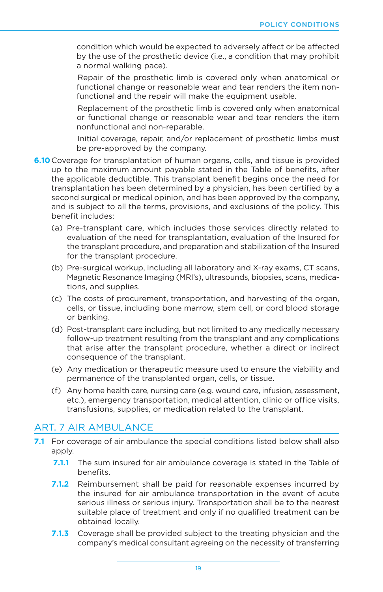condition which would be expected to adversely affect or be affected by the use of the prosthetic device (i.e., a condition that may prohibit a normal walking pace).

Repair of the prosthetic limb is covered only when anatomical or functional change or reasonable wear and tear renders the item nonfunctional and the repair will make the equipment usable.

Replacement of the prosthetic limb is covered only when anatomical or functional change or reasonable wear and tear renders the item nonfunctional and non-reparable.

Initial coverage, repair, and/or replacement of prosthetic limbs must be pre-approved by the company.

- **6.10** Coverage for transplantation of human organs, cells, and tissue is provided up to the maximum amount payable stated in the Table of benefits, after the applicable deductible. This transplant benefit begins once the need for transplantation has been determined by a physician, has been certified by a second surgical or medical opinion, and has been approved by the company, and is subject to all the terms, provisions, and exclusions of the policy. This benefit includes:
	- (a) Pre-transplant care, which includes those services directly related to evaluation of the need for transplantation, evaluation of the Insured for the transplant procedure, and preparation and stabilization of the Insured for the transplant procedure.
	- (b) Pre-surgical workup, including all laboratory and X-ray exams, CT scans, Magnetic Resonance Imaging (MRI's), ultrasounds, biopsies, scans, medications, and supplies.
	- (c) The costs of procurement, transportation, and harvesting of the organ, cells, or tissue, including bone marrow, stem cell, or cord blood storage or banking.
	- (d) Post-transplant care including, but not limited to any medically necessary follow-up treatment resulting from the transplant and any complications that arise after the transplant procedure, whether a direct or indirect consequence of the transplant.
	- (e) Any medication or therapeutic measure used to ensure the viability and permanence of the transplanted organ, cells, or tissue.
	- (f) Any home health care, nursing care (e.g. wound care, infusion, assessment, etc.), emergency transportation, medical attention, clinic or office visits, transfusions, supplies, or medication related to the transplant.

#### ART. 7 AIR AMBULANCE

- **7.1** For coverage of air ambulance the special conditions listed below shall also apply.
	- **7.1.1** The sum insured for air ambulance coverage is stated in the Table of benefits.
	- **7.1.2** Reimbursement shall be paid for reasonable expenses incurred by the insured for air ambulance transportation in the event of acute serious illness or serious injury. Transportation shall be to the nearest suitable place of treatment and only if no qualified treatment can be obtained locally.
	- **7.1.3** Coverage shall be provided subject to the treating physician and the company's medical consultant agreeing on the necessity of transferring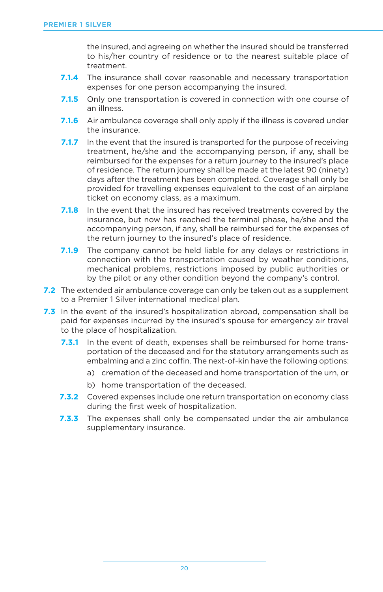the insured, and agreeing on whether the insured should be transferred to his/her country of residence or to the nearest suitable place of treatment.

- **7.1.4** The insurance shall cover reasonable and necessary transportation expenses for one person accompanying the insured.
- **7.1.5** Only one transportation is covered in connection with one course of an illness.
- **7.1.6** Air ambulance coverage shall only apply if the illness is covered under the insurance.
- **7.1.7** In the event that the insured is transported for the purpose of receiving treatment, he/she and the accompanying person, if any, shall be reimbursed for the expenses for a return journey to the insured's place of residence. The return journey shall be made at the latest 90 (ninety) days after the treatment has been completed. Coverage shall only be provided for travelling expenses equivalent to the cost of an airplane ticket on economy class, as a maximum.
- **7.1.8** In the event that the insured has received treatments covered by the insurance, but now has reached the terminal phase, he/she and the accompanying person, if any, shall be reimbursed for the expenses of the return journey to the insured's place of residence.
- **7.1.9** The company cannot be held liable for any delays or restrictions in connection with the transportation caused by weather conditions, mechanical problems, restrictions imposed by public authorities or by the pilot or any other condition beyond the company's control.
- **7.2** The extended air ambulance coverage can only be taken out as a supplement to a Premier 1 Silver international medical plan.
- **7.3** In the event of the insured's hospitalization abroad, compensation shall be paid for expenses incurred by the insured's spouse for emergency air travel to the place of hospitalization.
	- **7.3.1** In the event of death, expenses shall be reimbursed for home transportation of the deceased and for the statutory arrangements such as embalming and a zinc coffin. The next-of-kin have the following options:
		- a) cremation of the deceased and home transportation of the urn, or
		- b) home transportation of the deceased.
	- **7.3.2** Covered expenses include one return transportation on economy class during the first week of hospitalization.
	- **7.3.3** The expenses shall only be compensated under the air ambulance supplementary insurance.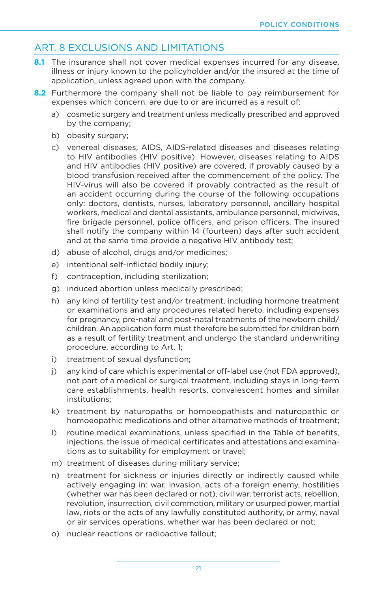#### ART. 8 EXCLUSIONS AND LIMITATIONS

- **8.1** The insurance shall not cover medical expenses incurred for any disease, illness or injury known to the policyholder and/or the insured at the time of application, unless agreed upon with the company.
- **8.2** Furthermore the company shall not be liable to pay reimbursement for expenses which concern, are due to or are incurred as a result of:
	- a) cosmetic surgery and treatment unless medically prescribed and approved by the company;
	- b) obesity surgery;
	- c) venereal diseases, AIDS, AIDS-related diseases and diseases relating to HIV antibodies (HIV positive). However, diseases relating to AIDS and HIV antibodies (HIV positive) are covered, if provably caused by a blood transfusion received after the commencement of the policy. The HIV-virus will also be covered if provably contracted as the result of an accident occurring during the course of the following occupations only: doctors, dentists, nurses, laboratory personnel, ancillary hospital workers, medical and dental assistants, ambulance personnel, midwives, fire brigade personnel, police officers, and prison officers. The insured shall notify the company within 14 (fourteen) days after such accident and at the same time provide a negative HIV antibody test;
	- d) abuse of alcohol, drugs and/or medicines;
	- e) intentional self-inflicted bodily injury;
	- f) contraception, including sterilization;
	- g) induced abortion unless medically prescribed;
	- h) any kind of fertility test and/or treatment, including hormone treatment or examinations and any procedures related hereto, including expenses for pregnancy, pre-natal and post-natal treatments of the newborn child/ children. An application form must therefore be submitted for children born as a result of fertility treatment and undergo the standard underwriting procedure, according to Art. 1;
	- i) treatment of sexual dysfunction;
	- j) any kind of care which is experimental or off-label use (not FDA approved), not part of a medical or surgical treatment, including stays in long-term care establishments, health resorts, convalescent homes and similar institutions;
	- k) treatment by naturopaths or homoeopathists and naturopathic or homoeopathic medications and other alternative methods of treatment;
	- l) routine medical examinations, unless specified in the Table of benefits, injections, the issue of medical certificates and attestations and examinations as to suitability for employment or travel;
	- m) treatment of diseases during military service;
	- n) treatment for sickness or injuries directly or indirectly caused while actively engaging in: war, invasion, acts of a foreign enemy, hostilities (whether war has been declared or not), civil war, terrorist acts, rebellion, revolution, insurrection, civil commotion, military or usurped power, martial law, riots or the acts of any lawfully constituted authority, or army, naval or air services operations, whether war has been declared or not;
	- o) nuclear reactions or radioactive fallout;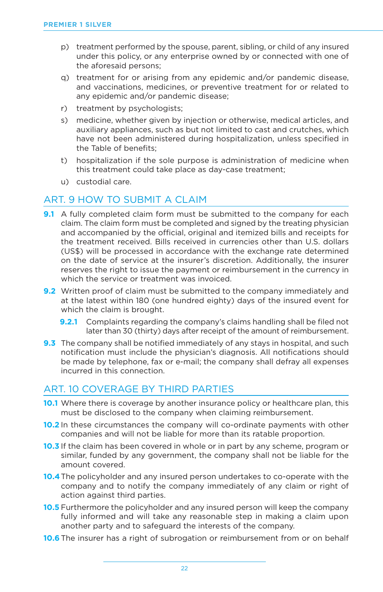- p) treatment performed by the spouse, parent, sibling, or child of any insured under this policy, or any enterprise owned by or connected with one of the aforesaid persons;
- q) treatment for or arising from any epidemic and/or pandemic disease, and vaccinations, medicines, or preventive treatment for or related to any epidemic and/or pandemic disease;
- r) treatment by psychologists;
- s) medicine, whether given by injection or otherwise, medical articles, and auxiliary appliances, such as but not limited to cast and crutches, which have not been administered during hospitalization, unless specified in the Table of benefits;
- t) hospitalization if the sole purpose is administration of medicine when this treatment could take place as day-case treatment;
- u) custodial care.

#### ART. 9 HOW TO SUBMIT A CLAIM

- **9.1** A fully completed claim form must be submitted to the company for each claim. The claim form must be completed and signed by the treating physician and accompanied by the official, original and itemized bills and receipts for the treatment received. Bills received in currencies other than U.S. dollars (US\$) will be processed in accordance with the exchange rate determined on the date of service at the insurer's discretion. Additionally, the insurer reserves the right to issue the payment or reimbursement in the currency in which the service or treatment was invoiced.
- **9.2** Written proof of claim must be submitted to the company immediately and at the latest within 180 (one hundred eighty) days of the insured event for which the claim is brought.
	- **9.2.1** Complaints regarding the company's claims handling shall be filed not later than 30 (thirty) days after receipt of the amount of reimbursement.
- **9.3** The company shall be notified immediately of any stays in hospital, and such notification must include the physician's diagnosis. All notifications should be made by telephone, fax or e-mail; the company shall defray all expenses incurred in this connection.

#### ART. 10 COVERAGE BY THIRD PARTIES

- **10.1** Where there is coverage by another insurance policy or healthcare plan, this must be disclosed to the company when claiming reimbursement.
- **10.2** In these circumstances the company will co-ordinate payments with other companies and will not be liable for more than its ratable proportion.
- **10.3** If the claim has been covered in whole or in part by any scheme, program or similar, funded by any government, the company shall not be liable for the amount covered.
- **10.4**The policyholder and any insured person undertakes to co-operate with the company and to notify the company immediately of any claim or right of action against third parties.
- **10.5** Furthermore the policyholder and any insured person will keep the company fully informed and will take any reasonable step in making a claim upon another party and to safeguard the interests of the company.
- **10.6**The insurer has a right of subrogation or reimbursement from or on behalf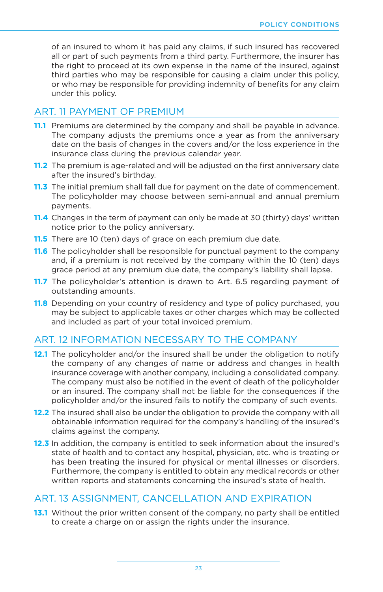of an insured to whom it has paid any claims, if such insured has recovered all or part of such payments from a third party. Furthermore, the insurer has the right to proceed at its own expense in the name of the insured, against third parties who may be responsible for causing a claim under this policy, or who may be responsible for providing indemnity of benefits for any claim under this policy.

#### ART. 11 PAYMENT OF PREMIUM

- **11.1** Premiums are determined by the company and shall be payable in advance. The company adjusts the premiums once a year as from the anniversary date on the basis of changes in the covers and/or the loss experience in the insurance class during the previous calendar year.
- **11.2** The premium is age-related and will be adjusted on the first anniversary date after the insured's birthday.
- **11.3** The initial premium shall fall due for payment on the date of commencement. The policyholder may choose between semi-annual and annual premium payments.
- **11.4** Changes in the term of payment can only be made at 30 (thirty) days' written notice prior to the policy anniversary.
- **11.5** There are 10 (ten) days of grace on each premium due date.
- **11.6** The policyholder shall be responsible for punctual payment to the company and, if a premium is not received by the company within the 10 (ten) days grace period at any premium due date, the company's liability shall lapse.
- **11.7** The policyholder's attention is drawn to Art. 6.5 regarding payment of outstanding amounts.
- **11.8** Depending on your country of residency and type of policy purchased, you may be subject to applicable taxes or other charges which may be collected and included as part of your total invoiced premium.

#### ART. 12 INFORMATION NECESSARY TO THE COMPANY

- **12.1** The policyholder and/or the insured shall be under the obligation to notify the company of any changes of name or address and changes in health insurance coverage with another company, including a consolidated company. The company must also be notified in the event of death of the policyholder or an insured. The company shall not be liable for the consequences if the policyholder and/or the insured fails to notify the company of such events.
- **12.2** The insured shall also be under the obligation to provide the company with all obtainable information required for the company's handling of the insured's claims against the company.
- **12.3** In addition, the company is entitled to seek information about the insured's state of health and to contact any hospital, physician, etc. who is treating or has been treating the insured for physical or mental illnesses or disorders. Furthermore, the company is entitled to obtain any medical records or other written reports and statements concerning the insured's state of health.

#### ART. 13 ASSIGNMENT, CANCELLATION AND EXPIRATION

**13.1** Without the prior written consent of the company, no party shall be entitled to create a charge on or assign the rights under the insurance.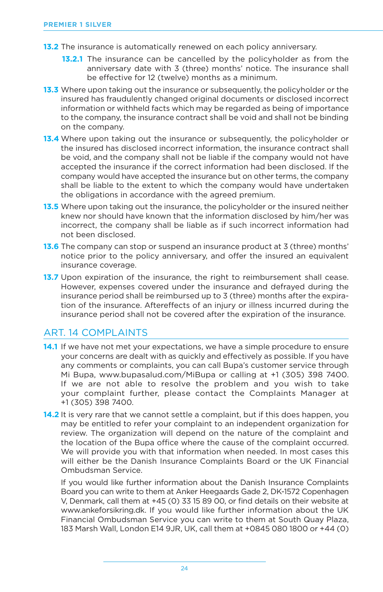- **13.2** The insurance is automatically renewed on each policy anniversary.
	- **13.2.1** The insurance can be cancelled by the policyholder as from the anniversary date with 3 (three) months' notice. The insurance shall be effective for 12 (twelve) months as a minimum.
- **13.3** Where upon taking out the insurance or subsequently, the policyholder or the insured has fraudulently changed original documents or disclosed incorrect information or withheld facts which may be regarded as being of importance to the company, the insurance contract shall be void and shall not be binding on the company.
- **13.4** Where upon taking out the insurance or subsequently, the policyholder or the insured has disclosed incorrect information, the insurance contract shall be void, and the company shall not be liable if the company would not have accepted the insurance if the correct information had been disclosed. If the company would have accepted the insurance but on other terms, the company shall be liable to the extent to which the company would have undertaken the obligations in accordance with the agreed premium.
- **13.5** Where upon taking out the insurance, the policyholder or the insured neither knew nor should have known that the information disclosed by him/her was incorrect, the company shall be liable as if such incorrect information had not been disclosed.
- **13.6** The company can stop or suspend an insurance product at 3 (three) months' notice prior to the policy anniversary, and offer the insured an equivalent insurance coverage.
- **13.7** Upon expiration of the insurance, the right to reimbursement shall cease. However, expenses covered under the insurance and defrayed during the insurance period shall be reimbursed up to 3 (three) months after the expiration of the insurance. Aftereffects of an injury or illness incurred during the insurance period shall not be covered after the expiration of the insurance.

### ART. 14 COMPLAINTS

- **14.1** If we have not met your expectations, we have a simple procedure to ensure your concerns are dealt with as quickly and effectively as possible. If you have any comments or complaints, you can call Bupa's customer service through Mi Bupa, www.bupasalud.com/MiBupa or calling at +1 (305) 398 7400. If we are not able to resolve the problem and you wish to take your complaint further, please contact the Complaints Manager at +1 (305) 398 7400.
- **14.2** It is very rare that we cannot settle a complaint, but if this does happen, you may be entitled to refer your complaint to an independent organization for review. The organization will depend on the nature of the complaint and the location of the Bupa office where the cause of the complaint occurred. We will provide you with that information when needed. In most cases this will either be the Danish Insurance Complaints Board or the UK Financial Ombudsman Service.

If you would like further information about the Danish Insurance Complaints Board you can write to them at Anker Heegaards Gade 2, DK-1572 Copenhagen V, Denmark, call them at +45 (0) 33 15 89 00, or find details on their website at www.ankeforsikring.dk. If you would like further information about the UK Financial Ombudsman Service you can write to them at South Quay Plaza, 183 Marsh Wall, London E14 9JR, UK, call them at +0845 080 1800 or +44 (0)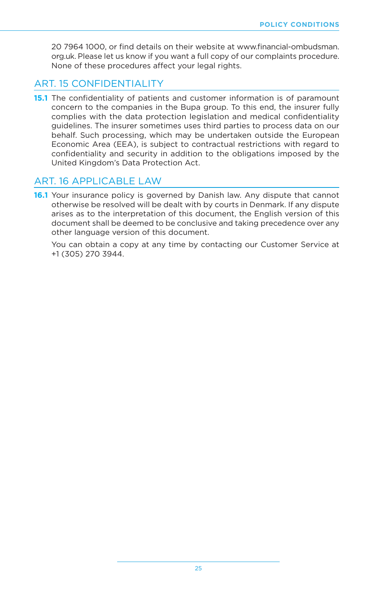20 7964 1000, or find details on their website at www.financial-ombudsman. org.uk. Please let us know if you want a full copy of our complaints procedure. None of these procedures affect your legal rights.

#### ART. 15 CONFIDENTIALITY

**15.1** The confidentiality of patients and customer information is of paramount concern to the companies in the Bupa group. To this end, the insurer fully complies with the data protection legislation and medical confidentiality guidelines. The insurer sometimes uses third parties to process data on our behalf. Such processing, which may be undertaken outside the European Economic Area (EEA), is subject to contractual restrictions with regard to confidentiality and security in addition to the obligations imposed by the United Kingdom's Data Protection Act.

#### ART. 16 APPLICABLE LAW

**16.1** Your insurance policy is governed by Danish law. Any dispute that cannot otherwise be resolved will be dealt with by courts in Denmark. If any dispute arises as to the interpretation of this document, the English version of this document shall be deemed to be conclusive and taking precedence over any other language version of this document.

You can obtain a copy at any time by contacting our Customer Service at +1 (305) 270 3944.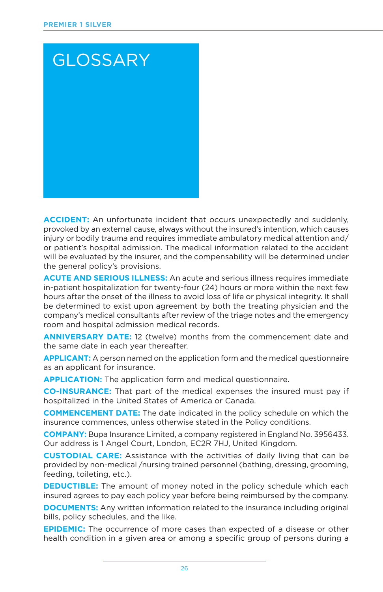

**ACCIDENT:** An unfortunate incident that occurs unexpectedly and suddenly, provoked by an external cause, always without the insured's intention, which causes injury or bodily trauma and requires immediate ambulatory medical attention and/ or patient's hospital admission. The medical information related to the accident will be evaluated by the insurer, and the compensability will be determined under the general policy's provisions.

**ACUTE AND SERIOUS ILLNESS:** An acute and serious illness requires immediate in-patient hospitalization for twenty-four (24) hours or more within the next few hours after the onset of the illness to avoid loss of life or physical integrity. It shall be determined to exist upon agreement by both the treating physician and the company's medical consultants after review of the triage notes and the emergency room and hospital admission medical records.

**ANNIVERSARY DATE:** 12 (twelve) months from the commencement date and the same date in each year thereafter.

**APPLICANT:** A person named on the application form and the medical questionnaire as an applicant for insurance.

**APPLICATION:** The application form and medical questionnaire.

**CO-INSURANCE:** That part of the medical expenses the insured must pay if hospitalized in the United States of America or Canada.

**COMMENCEMENT DATE:** The date indicated in the policy schedule on which the insurance commences, unless otherwise stated in the Policy conditions.

**COMPANY:** Bupa Insurance Limited, a company registered in England No. 3956433. Our address is 1 Angel Court, London, EC2R 7HJ, United Kingdom.

**CUSTODIAL CARE:** Assistance with the activities of daily living that can be provided by non-medical /nursing trained personnel (bathing, dressing, grooming, feeding, toileting, etc.).

**DEDUCTIBLE:** The amount of money noted in the policy schedule which each insured agrees to pay each policy year before being reimbursed by the company.

**DOCUMENTS:** Any written information related to the insurance including original bills, policy schedules, and the like.

**EPIDEMIC:** The occurrence of more cases than expected of a disease or other health condition in a given area or among a specific group of persons during a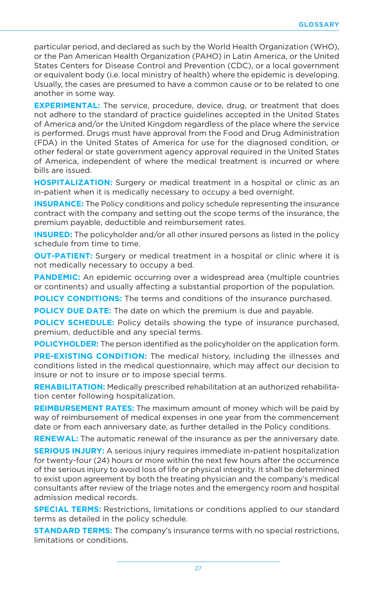particular period, and declared as such by the World Health Organization (WHO), or the Pan American Health Organization (PAHO) in Latin America, or the United States Centers for Disease Control and Prevention (CDC), or a local government or equivalent body (i.e. local ministry of health) where the epidemic is developing. Usually, the cases are presumed to have a common cause or to be related to one another in some way.

**EXPERIMENTAL:** The service, procedure, device, drug, or treatment that does not adhere to the standard of practice guidelines accepted in the United States of America and/or the United Kingdom regardless of the place where the service is performed. Drugs must have approval from the Food and Drug Administration (FDA) in the United States of America for use for the diagnosed condition, or other federal or state government agency approval required in the United States of America, independent of where the medical treatment is incurred or where bills are issued.

**HOSPITALIZATION:** Surgery or medical treatment in a hospital or clinic as an in-patient when it is medically necessary to occupy a bed overnight.

**INSURANCE:** The Policy conditions and policy schedule representing the insurance contract with the company and setting out the scope terms of the insurance, the premium payable, deductible and reimbursement rates.

**INSURED:** The policyholder and/or all other insured persons as listed in the policy schedule from time to time.

**OUT-PATIENT:** Surgery or medical treatment in a hospital or clinic where it is not medically necessary to occupy a bed.

**PANDEMIC:** An epidemic occurring over a widespread area (multiple countries or continents) and usually affecting a substantial proportion of the population.

**POLICY CONDITIONS:** The terms and conditions of the insurance purchased.

**POLICY DUE DATE:** The date on which the premium is due and payable.

**POLICY SCHEDULE:** Policy details showing the type of insurance purchased, premium, deductible and any special terms.

**POLICYHOLDER:** The person identified as the policyholder on the application form.

**PRE-EXISTING CONDITION:** The medical history, including the illnesses and conditions listed in the medical questionnaire, which may affect our decision to insure or not to insure or to impose special terms.

**REHABILITATION:** Medically prescribed rehabilitation at an authorized rehabilitation center following hospitalization.

**REIMBURSEMENT RATES:** The maximum amount of money which will be paid by way of reimbursement of medical expenses in one year from the commencement date or from each anniversary date, as further detailed in the Policy conditions.

**RENEWAL:** The automatic renewal of the insurance as per the anniversary date.

**SERIOUS INJURY:** A serious injury requires immediate in-patient hospitalization for twenty-four (24) hours or more within the next few hours after the occurrence of the serious injury to avoid loss of life or physical integrity. It shall be determined to exist upon agreement by both the treating physician and the company's medical consultants after review of the triage notes and the emergency room and hospital admission medical records.

**SPECIAL TERMS:** Restrictions, limitations or conditions applied to our standard terms as detailed in the policy schedule.

**STANDARD TERMS:** The company's insurance terms with no special restrictions, limitations or conditions.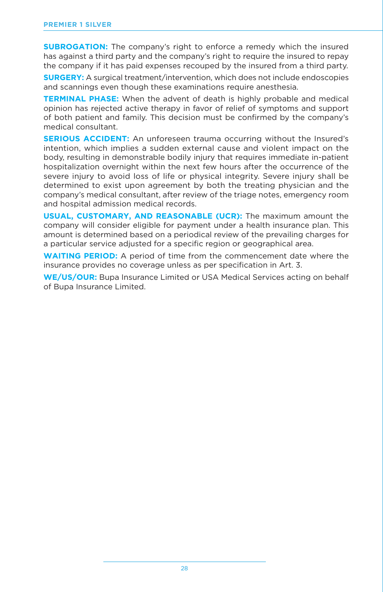**SUBROGATION:** The company's right to enforce a remedy which the insured has against a third party and the company's right to require the insured to repay the company if it has paid expenses recouped by the insured from a third party.

**SURGERY:** A surgical treatment/intervention, which does not include endoscopies and scannings even though these examinations require anesthesia.

**TERMINAL PHASE:** When the advent of death is highly probable and medical opinion has rejected active therapy in favor of relief of symptoms and support of both patient and family. This decision must be confirmed by the company's medical consultant.

**SERIOUS ACCIDENT:** An unforeseen trauma occurring without the Insured's intention, which implies a sudden external cause and violent impact on the body, resulting in demonstrable bodily injury that requires immediate in-patient hospitalization overnight within the next few hours after the occurrence of the severe injury to avoid loss of life or physical integrity. Severe injury shall be determined to exist upon agreement by both the treating physician and the company's medical consultant, after review of the triage notes, emergency room and hospital admission medical records.

**USUAL, CUSTOMARY, AND REASONABLE (UCR):** The maximum amount the company will consider eligible for payment under a health insurance plan. This amount is determined based on a periodical review of the prevailing charges for a particular service adjusted for a specific region or geographical area.

**WAITING PERIOD:** A period of time from the commencement date where the insurance provides no coverage unless as per specification in Art. 3.

**WE/US/OUR:** Bupa Insurance Limited or USA Medical Services acting on behalf of Bupa Insurance Limited.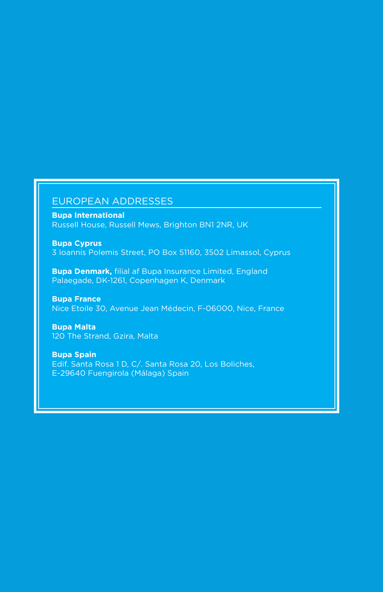#### EUROPEAN ADDRESSES

**Bupa International** Russell House, Russell Mews, Brighton BN1 2NR, UK

**Bupa Cyprus** 3 Ioannis Polemis Street, PO Box 51160, 3502 Limassol, Cyprus

**Bupa Denmark,** filial af Bupa Insurance Limited, England Palaegade, DK-1261, Copenhagen K, Denmark

**Bupa France** Nice Etoile 30, Avenue Jean Médecin, F-06000, Nice, France

**Bupa Malta** 120 The Strand, Gzira, Malta

**Bupa Spain** Edif. Santa Rosa 1 D, C/. Santa Rosa 20, Los Boliches, E-29640 Fuengirola (Málaga) Spain